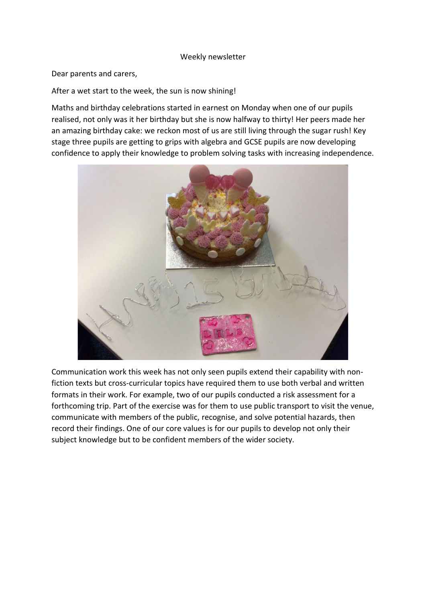## Weekly newsletter

Dear parents and carers,

After a wet start to the week, the sun is now shining!

Maths and birthday celebrations started in earnest on Monday when one of our pupils realised, not only was it her birthday but she is now halfway to thirty! Her peers made her an amazing birthday cake: we reckon most of us are still living through the sugar rush! Key stage three pupils are getting to grips with algebra and GCSE pupils are now developing confidence to apply their knowledge to problem solving tasks with increasing independence.



Communication work this week has not only seen pupils extend their capability with nonfiction texts but cross-curricular topics have required them to use both verbal and written formats in their work. For example, two of our pupils conducted a risk assessment for a forthcoming trip. Part of the exercise was for them to use public transport to visit the venue, communicate with members of the public, recognise, and solve potential hazards, then record their findings. One of our core values is for our pupils to develop not only their subject knowledge but to be confident members of the wider society.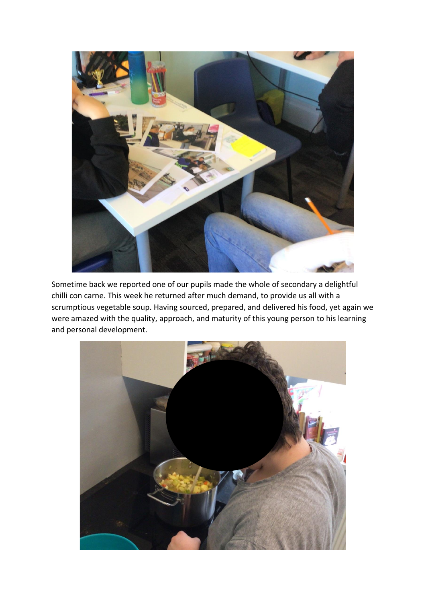

Sometime back we reported one of our pupils made the whole of secondary a delightful chilli con carne. This week he returned after much demand, to provide us all with a scrumptious vegetable soup. Having sourced, prepared, and delivered his food, yet again we were amazed with the quality, approach, and maturity of this young person to his learning and personal development.

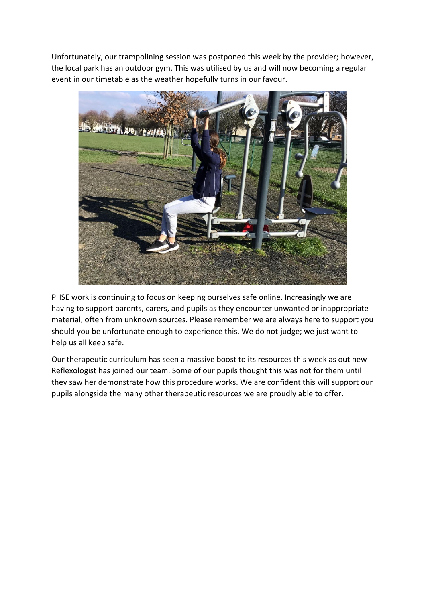Unfortunately, our trampolining session was postponed this week by the provider; however, the local park has an outdoor gym. This was utilised by us and will now becoming a regular event in our timetable as the weather hopefully turns in our favour.



PHSE work is continuing to focus on keeping ourselves safe online. Increasingly we are having to support parents, carers, and pupils as they encounter unwanted or inappropriate material, often from unknown sources. Please remember we are always here to support you should you be unfortunate enough to experience this. We do not judge; we just want to help us all keep safe.

Our therapeutic curriculum has seen a massive boost to its resources this week as out new Reflexologist has joined our team. Some of our pupils thought this was not for them until they saw her demonstrate how this procedure works. We are confident this will support our pupils alongside the many other therapeutic resources we are proudly able to offer.